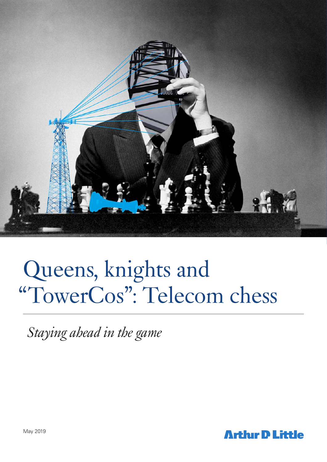

# Queens, knights and "TowerCos": Telecom chess

 *Staying ahead in the game*

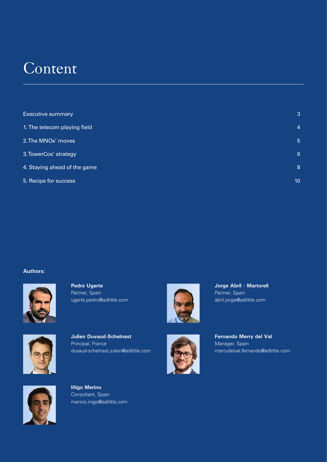### **Content**

| <b>Executive summary</b>     | 3              |
|------------------------------|----------------|
| 1. The telecom playing field | $\overline{4}$ |
| 2. The MNOs' moves           | 5              |
| 3. TowerCos' strategy        | 6              |
| 4. Staying ahead of the game | 8              |
| 5. Recipe for success        | 10             |

#### **Authors:**



**Pedro Ugarte** Partner, Spain ugarte.pedro@adlittle.com







**Julien Duvaud-Schelnast** Principal, France duvaud-schelnast.julien@adlittle.com



**Fernando Merry del Val** Manager, Spain merrydelval.fernando@adlittle.com



**Iñigo Merino** Consultant, Spain merino.inigo@adlittle.com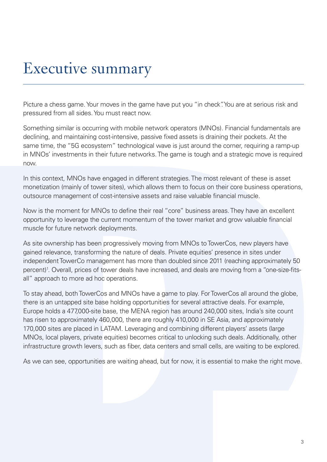## Executive summary

Picture a chess game. Your moves in the game have put you "in check". You are at serious risk and pressured from all sides. You must react now.

Something similar is occurring with mobile network operators (MNOs). Financial fundamentals are declining, and maintaining cost-intensive, passive fixed assets is draining their pockets. At the same time, the "5G ecosystem" technological wave is just around the corner, requiring a ramp-up in MNOs' investments in their future networks. The game is tough and a strategic move is required now.

In this context, MNOs have engaged in different strategies. The most relevant of these is asset monetization (mainly of tower sites), which allows them to focus on their core business operations, outsource management of cost-intensive assets and raise valuable financial muscle.

Now is the moment for MNOs to define their real "core" business areas. They have an excellent opportunity to leverage the current momentum of the tower market and grow valuable financial muscle for future network deployments.

As site ownership has been progressively moving from MNOs to TowerCos, new players have gained relevance, transforming the nature of deals. Private equities' presence in sites under independent TowerCo management has more than doubled since 2011 (reaching approximately 50 percent)<sup>1</sup>. Overall, prices of tower deals have increased, and deals are moving from a "one-size-fitsall" approach to more ad hoc operations.

To stay ahead, both TowerCos and MNOs have a game to play. For TowerCos all around the globe, there is an untapped site base holding opportunities for several attractive deals. For example, Europe holds a 477,000-site base, the MENA region has around 240,000 sites, India's site count has risen to approximately 460,000, there are roughly 410,000 in SE Asia, and approximately 170,000 sites are placed in LATAM. Leveraging and combining different players' assets (large MNOs, local players, private equities) becomes critical to unlocking such deals. Additionally, other infrastructure growth levers, such as fiber, data centers and small cells, are waiting to be explored.

As we can see, opportunities are waiting ahead, but for now, it is essential to make the right move.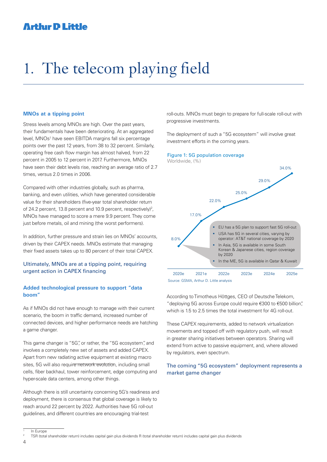## 1. The telecom playing field

#### **MNOs at a tipping point**

Stress levels among MNOs are high. Over the past years, their fundamentals have been deteriorating. At an aggregated level, MNOs<sup>1</sup> have seen EBITDA margins fall six percentage points over the past 12 years, from 38 to 32 percent. Similarly, operating free cash flow margin has almost halved, from 22 percent in 2005 to 12 percent in 2017. Furthermore, MNOs have seen their debt levels rise, reaching an average ratio of 2.7 times, versus 2.0 times in 2006.

Compared with other industries globally, such as pharma, banking, and even utilities, which have generated considerable value for their shareholders (five-year total shareholder return of 24.2 percent, 13.8 percent and 10.9 percent, respectively)<sup>2</sup>, MNOs have managed to score a mere 9.9 percent. They come just before metals, oil and mining (the worst performers).

In addition, further pressure and strain lies on MNOs' accounts, driven by their CAPEX needs. MNOs estimate that managing their fixed assets takes up to 80 percent of their total CAPEX.

#### Ultimately, MNOs are at a tipping point, requiring urgent action in CAPEX financing

#### **Added technological pressure to support "data boom"**

As if MNOs did not have enough to manage with their current scenario, the boom in traffic demand, increased number of connected devices, and higher performance needs are hatching a game changer.

This game changer is "5G", or rather, the "5G ecosystem", and involves a completely new set of assets and added CAPEX. Apart from new radiating active equipment at existing macro sites, 5G will also require network evolution, including small cells, fiber backhaul, tower reinforcement, edge computing and hyper-scale data centers, among other things.

Although there is still uncertainty concerning 5G's readiness and deployment, there is consensus that global coverage is likely to reach around 22 percent by 2022. Authorities have 5G roll-out guidelines, and different countries are encouraging trial-test

roll-outs. MNOs must begin to prepare for full-scale roll-out with progressive investments.

The deployment of such a "5G ecosystem" will involve great investment efforts in the coming years.

#### Figure 1: 5G population coverage



According to Timotheus Höttges, CEO of Deutsche Telekom, "deploying 5G across Europe could require €300 to €500 billion", which is 1.5 to 2.5 times the total investment for 4G roll-out.

These CAPEX requirements, added to network virtualization movements and topped off with regulatory push, will result in greater sharing initiatives between operators. Sharing will extend from active to passive equipment, and, where allowed by regulators, even spectrum.

#### The coming "5G ecosystem" deployment represents a market game changer

In Europe<br>TSR (total shareholder return) includes capital gain plus dividends R (total shareholder return) includes capital gain plus dividends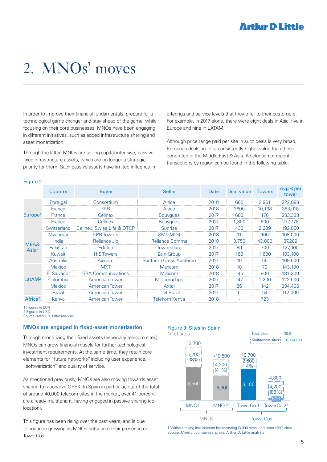## 2. MNOs' moves

In order to improve their financial fundamentals, prepare for a technological game changer and stay ahead of the game, while focusing on their core businesses, MNOs have been engaging in different initiatives, such as added infrastructure sharing and asset monetization.

Through the latter, MNOs are selling capital-intensive, passive fixed infrastructure assets, which are no longer a strategic priority for them. Such passive assets have limited influence in offerings and service levels that they offer to their customers. For example, in 2017 alone, there were eight deals in Asia, five in Europe and nine in LATAM.

Although price range paid per site in such deals is very broad, European deals are of a consistently higher value than those generated in the Middle East & Asia. A selection of recent transactions by region can be found in the following table.

| .                         |                    |                            |                         |      |            |               |                             |
|---------------------------|--------------------|----------------------------|-------------------------|------|------------|---------------|-----------------------------|
|                           | Country            | <b>Buyer</b>               | <b>Seller</b>           | Date | Deal value | <b>Towers</b> | Avg $\epsilon$ per<br>tower |
| Europe <sup>1</sup>       | Portugal           | Consortium                 | Altice                  | 2018 | 660        | 2.961         | 222,898                     |
|                           | France             | <b>KKR</b>                 | Altice                  | 2018 | 3600       | 10,198        | 353,010                     |
|                           | France             | Cellnex                    | <b>Bouvques</b>         | 2017 | 600        | 170           | 283,333                     |
|                           | France             | Cellnex                    | <b>Bouvques</b>         | 2017 | 1.800      | 500           | 277,778                     |
|                           | Switzerland        | Cellnex, Swiss Life & DTCP | Sunrise                 | 2017 | 430        | 2,239         | 192,050                     |
| MEA&<br>Asia <sup>2</sup> | <b>Myanmar</b>     | <b>KPR</b> Towers          | SMI (MIG)               | 2018 | 11         | 100           | 108,000                     |
|                           | India              | Reliance Jio               | <b>Reliance Comms</b>   | 2018 | 3.750      | 43,000        | 87,209                      |
|                           | Pakistan           | Edotco                     | <b>Towershare</b>       | 2017 | 89         | 700           | 127,000                     |
|                           | Kuwait             | <b>HIS Towers</b>          | Zain Group              | 2017 | 165        | 1,600         | 103,100                     |
|                           | Australia          | Axicom                     | Southern Cross Austereo | 2017 | 10         | 56            | 169,600                     |
| LatAM <sup>2</sup>        | Mexico             | <b>MXT</b>                 | <b>Maxcom</b>           | 2018 | 10         | 72            | 143,100                     |
|                           | <b>El Salvador</b> | <b>SBA Communications</b>  | Millicom                | 2018 | 145        | 800           | 181,300                     |
|                           | Colombia           | <b>American Tower</b>      | Millicom/Tigo           | 2017 | 147        | 1,200         | 122,500                     |
|                           | <b>Mexico</b>      | <b>American Tower</b>      | Axtel                   | 2017 | 56         | 142           | 394,400                     |
|                           | <b>Brazil</b>      | <b>American Tower</b>      | <b>TIM Brazil</b>       | 2017 | 6          | 54            | 112,000                     |
| Africa <sup>2</sup>       | Kenya              | <b>American Tower</b>      | <b>Telekom Kenya</b>    | 2018 |            | 723           |                             |
|                           |                    |                            |                         |      |            |               |                             |

Figure 2

1 Figures in EUR

2 Figures in USD

Source: Arthur D. Little analysis

#### **MNOs are engaged in fixed-asset monetization**

Through monetizing their fixed assets (especially telecom sites), MNOs can grow financial muscle for further technological investment requirements. At the same time, they retain core elements for "future networks", including user experience, "softwarization" and quality of service.

As mentioned previously, MNOs are also moving towards asset sharing to rationalize OPEX. In Spain in particular, out of the total of around 40,000 telecom sites in the market, over 41 percent are already multitenant, having engaged in passive sharing (colocation).

This figure has been rising over the past years, and is due to continue growing as MNOs outsource their presence on TowerCos.

#### Figure 3: Sites in Spain



1 Without taking into account broadcasting (3,990 sites) and other (200) sites Source: Minetur, companies, press, Arthur D, Little analysis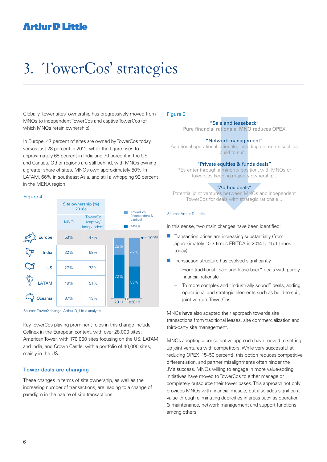## 3. TowerCos' strategies

Globally, tower sites' ownership has progressively moved from MNOs to independent TowerCos and captive TowerCos (of which MNOs retain ownership).

In Europe, 47 percent of sites are owned by TowerCos today, versus just 28 percent in 2011, while the figure rises to approximately 68 percent in India and 70 percent in the US and Canada. Other regions are still behind, with MNOs owning a greater share of sites. MNOs own approximately 50% In LATAM, 66% in southeast Asia, and still a whopping 99 percent in the MENA region

#### Figure 4



Source: TowerXchange, Arthur D, Little analysis

Key TowerCos playing prominent roles in this change include Cellnex in the European context, with over 28,000 sites; American Tower, with 170,000 sites focusing on the US, LATAM and India; and Crown Castle, with a portfolio of 40,000 sites, mainly in the US.

#### **Tower deals are changing**

These changes in terms of site ownership, as well as the increasing number of transactions, are leading to a change of paradigm in the nature of site transactions.

#### Figure 5

#### "Sale and leaseback"

Pure financial rationale, MNO reduces OPEX

#### "Network management"

Additional operational rationale, including elements such as build to suit...

#### "Private equities & funds deals"

PEs enter through a minority position, with MNOs or TowerCos keeping majority ownership...

#### "Ad hoc deals"

Potential joint ventures between MNOs and independent TowerCos for deals with strategic rationale...

#### Source: Arthur D. Little

In this sense, two main changes have been identified:

- $\blacksquare$  Transaction prices are increasing substantially (from approximately 10.3 times EBITDA in 2014 to 15.1 times today)
- Transaction structure has evolved significantly
	- From traditional "sale and lease-back" deals with purely financial rationale
	- To more complex and "industrially sound" deals, adding operational and strategic elements such as build-to-suit, joint-venture TowerCos…

MNOs have also adapted their approach towards site transactions from traditional leases, site commercialization and third-party site management.

MNOs adopting a conservative approach have moved to setting up joint ventures with competitors. While very successful at reducing OPEX (15–50 percent), this option reduces competitive differentiation, and partner misalignments often hinder the JV's success. MNOs willing to engage in more value-adding initiatives have moved to TowerCos to either manage or completely outsource their tower bases. This approach not only provides MNOs with financial muscle, but also adds significant  $\alpha$ value through eliminating duplicities in areas such as operation & maintenance, network management and support functions, among others.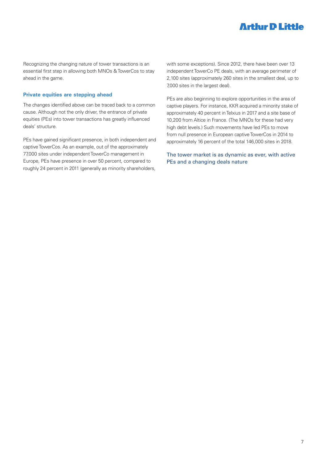Recognizing the changing nature of tower transactions is an essential first step in allowing both MNOs & TowerCos to stay ahead in the game.

#### **Private equities are stepping ahead**

The changes identified above can be traced back to a common cause. Although not the only driver, the entrance of private equities (PEs) into tower transactions has greatly influenced deals' structure.

PEs have gained significant presence, in both independent and captive TowerCos. As an example, out of the approximately 77,000 sites under independent TowerCo management in Europe, PEs have presence in over 50 percent, compared to roughly 24 percent in 2011 (generally as minority shareholders,

with some exceptions). Since 2012, there have been over 13 independent TowerCo PE deals, with an average perimeter of 2,100 sites (approximately 260 sites in the smallest deal, up to 7,000 sites in the largest deal).

PEs are also beginning to explore opportunities in the area of captive players. For instance, KKR acquired a minority stake of approximately 40 percent in Telxius in 2017 and a site base of 10,200 from Altice in France. (The MNOs for these had very high debt levels.) Such movements have led PEs to move from null presence in European captive TowerCos in 2014 to approximately 16 percent of the total 146,000 sites in 2018.

The tower market is as dynamic as ever, with active PEs and a changing deals nature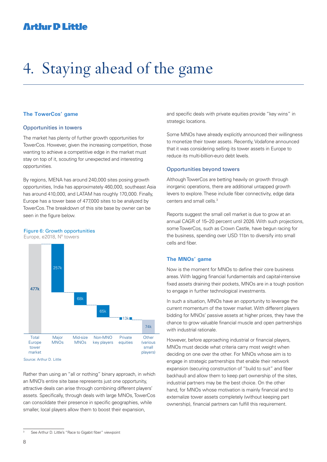## 4. Staying ahead of the game

#### **The TowerCos' game**

#### Opportunities in towers

The market has plenty of further growth opportunities for TowerCos. However, given the increasing competition, those wanting to achieve a competitive edge in the market must stay on top of it, scouting for unexpected and interesting opportunities.

By regions, MENA has around 240,000 sites posing growth opportunities, India has approximately 460,000, southeast Asia has around 410,000, and LATAM has roughly 170,000. Finally, Europe has a tower base of 477,000 sites to be analyzed by TowerCos. The breakdown of this site base by owner can be seen in the figure below.

#### Figure 6: Growth opportunities Europe, e2018, Nº towers



Source: Arthur D. Little

Rather than using an "all or nothing" binary approach, in which an MNO's entire site base represents just one opportunity, attractive deals can arise through combining different players' assets. Specifically, through deals with large MNOs, TowerCos can consolidate their presence in specific geographies, while smaller, local players allow them to boost their expansion,

<sup>3</sup> See Arthur D. Little's "Race to Gigabit fiber" viewpoint

and specific deals with private equities provide "key wins" in strategic locations.

Some MNOs have already explicitly announced their willingness to monetize their tower assets. Recently, Vodafone announced that it was considering selling its tower assets in Europe to reduce its multi-billion-euro debt levels.

#### Opportunities beyond towers

Although TowerCos are betting heavily on growth through inorganic operations, there are additional untapped growth levers to explore. These include fiber connectivity, edge data centers and small cells.3

Reports suggest the small cell market is due to grow at an annual CAGR of 15–20 percent until 2026. With such projections, some TowerCos, such as Crown Castle, have begun racing for the business, spending over USD 11bn to diversify into small cells and fiber.

#### **The MNOs' game**

Now is the moment for MNOs to define their core business areas. With lagging financial fundamentals and capital-intensive fixed assets draining their pockets, MNOs are in a tough position to engage in further technological investments.

In such a situation, MNOs have an opportunity to leverage the current momentum of the tower market. With different players bidding for MNOs' passive assets at higher prices, they have the chance to grow valuable financial muscle and open partnerships with industrial rationale.

However, before approaching industrial or financial players, MNOs must decide what criteria carry most weight when deciding on one over the other. For MNOs whose aim is to engage in strategic partnerships that enable their network expansion (securing construction of "build to suit" and fiber backhaul) and allow them to keep part ownership of the sites, industrial partners may be the best choice. On the other hand, for MNOs whose motivation is mainly financial and to externalize tower assets completely (without keeping part ownership), financial partners can fulfill this requirement.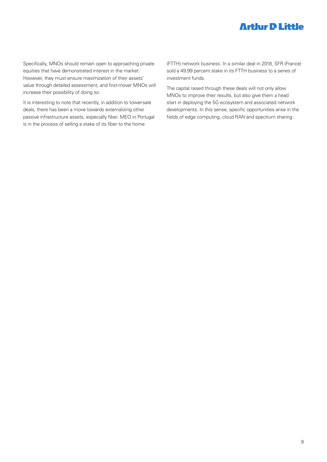Specifically, MNOs should remain open to approaching private equities that have demonstrated interest in the market. However, they must ensure maximization of their assets' value through detailed assessment, and first-mover MNOs will increase their possibility of doing so.

It is interesting to note that recently, in addition to tower-sale deals, there has been a move towards externalizing other passive infrastructure assets, especially fiber. MEO in Portugal is in the process of selling a stake of its fiber to the home

(FTTH) network business. In a similar deal in 2018, SFR (France) sold a 49.99 percent stake in its FTTH business to a series of investment funds.

The capital raised through these deals will not only allow MNOs to improve their results, but also give them a head start in deploying the 5G ecosystem and associated network developments. In this sense, specific opportunities arise in the fields of edge computing, cloud RAN and spectrum sharing.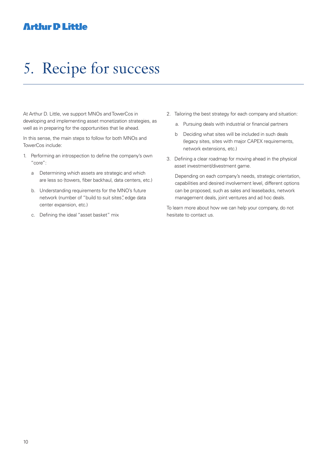## 5. Recipe for success

At Arthur D. Little, we support MNOs and TowerCos in developing and implementing asset monetization strategies, as well as in preparing for the opportunities that lie ahead.

In this sense, the main steps to follow for both MNOs and TowerCos include:

- 1. Performing an introspection to define the company's own "core":
	- a Determining which assets are strategic and which are less so (towers, fiber backhaul, data centers, etc.)
	- b. Understanding requirements for the MNO's future network (number of "build to suit sites", edge data center expansion, etc.)
	- c. Defining the ideal "asset basket" mix
- 2. Tailoring the best strategy for each company and situation:
	- a. Pursuing deals with industrial or financial partners
	- b Deciding what sites will be included in such deals (legacy sites, sites with major CAPEX requirements, network extensions, etc.)
- 3. Defining a clear roadmap for moving ahead in the physical asset investment/divestment game.

Depending on each company's needs, strategic orientation, capabilities and desired involvement level, different options can be proposed, such as sales and leasebacks, network management deals, joint ventures and ad hoc deals.

To learn more about how we can help your company, do not hesitate to contact us.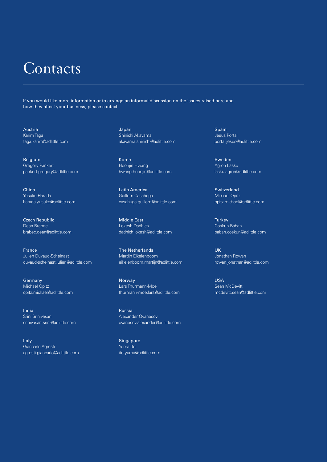### **Contacts**

If you would like more information or to arrange an informal discussion on the issues raised here and how they affect your business, please contact:

Austria Karim Taga taga.karim@adlittle.com

Belgium Gregory Pankert pankert.gregory@adlittle.com

China Yusuke Harada harada.yusuke@adlittle.com

Czech Republic Dean Brabec brabec.dean@adlittle.com

France Julien Duvaud-Schelnast duvaud-schelnast.julien@adlittle.com

Germany Michael Opitz opitz.michael@adlittle.com

India Srini Srinivasan srinivasan.srini@adlittle.com

Italy Giancarlo Agresti agresti.giancarlo@adlittle.com Japan Shinichi Akayama akayama.shinichi@adlittle.com

Korea Hoonjin Hwang hwang.hoonjin@adlittle.com

Latin America Guillem Casahuga casahuga.guillem@adlittle.com

Middle East Lokesh Dadhich dadhich.lokesh@adlittle.com

The Netherlands Martijn Eikelenboom eikelenboom.martijn@adlittle.com

Norway Lars Thurmann-Moe thurmann-moe.lars@adlittle.com

Russia Alexander Ovanesov ovanesov.alexander@adlittle.com

Singapore Yuma Ito ito.yuma@adlittle.com Spain Jesus Portal portal.jesus@adlittle.com

Sweden Agron Lasku lasku.agron@adlittle.com

Switzerland Michael Opitz opitz.michael@adlittle.com

**Turkey** Coskun Baban baban.coskun@adlittle.com

UK Jonathan Rowan rowan.jonathan@adlittle.com

USA Sean McDevitt mcdevitt.sean@adlittle.com